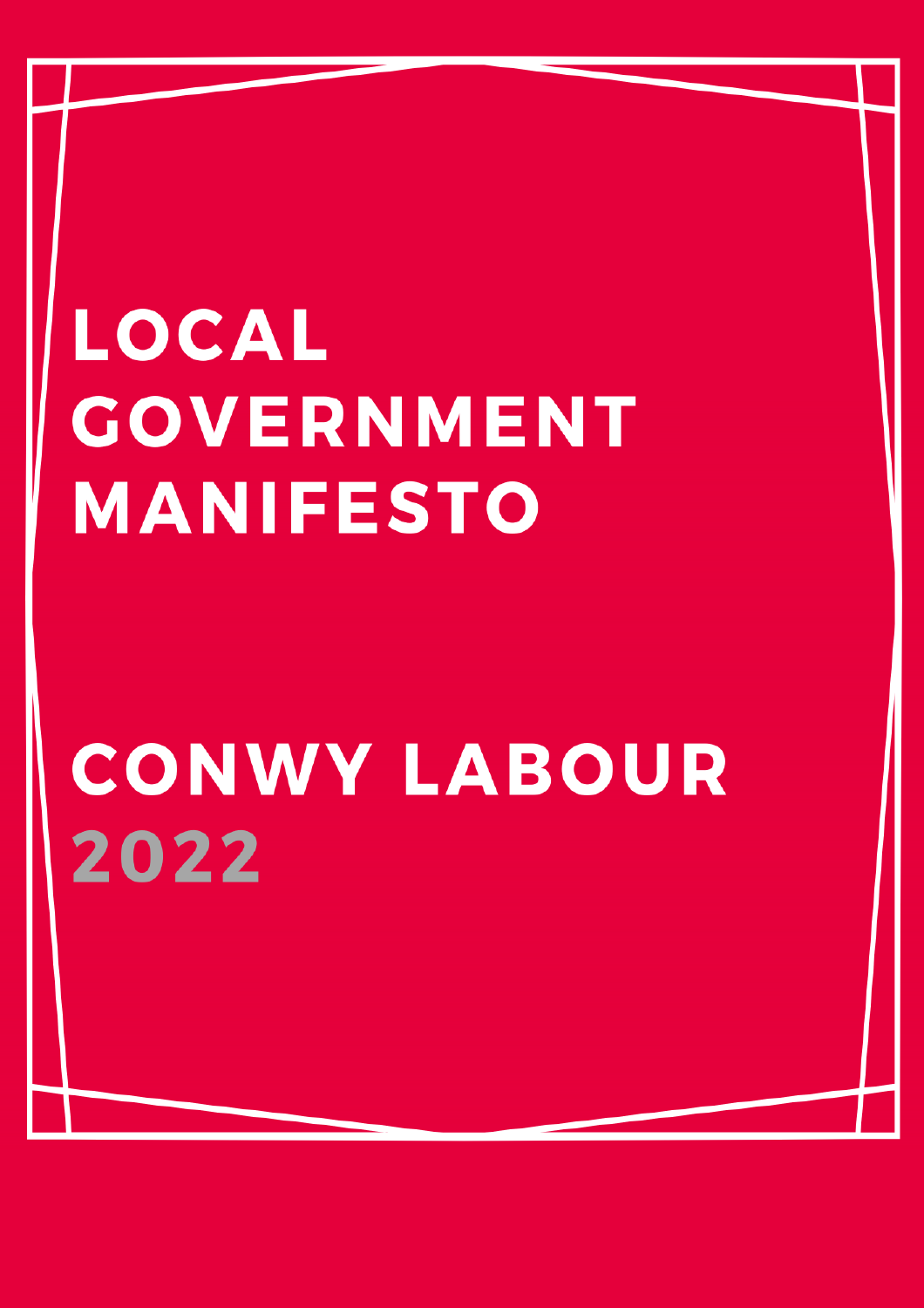# **LOCAL GOVERNMENT MANIFESTO**

## **CONWY LABOUR** 2022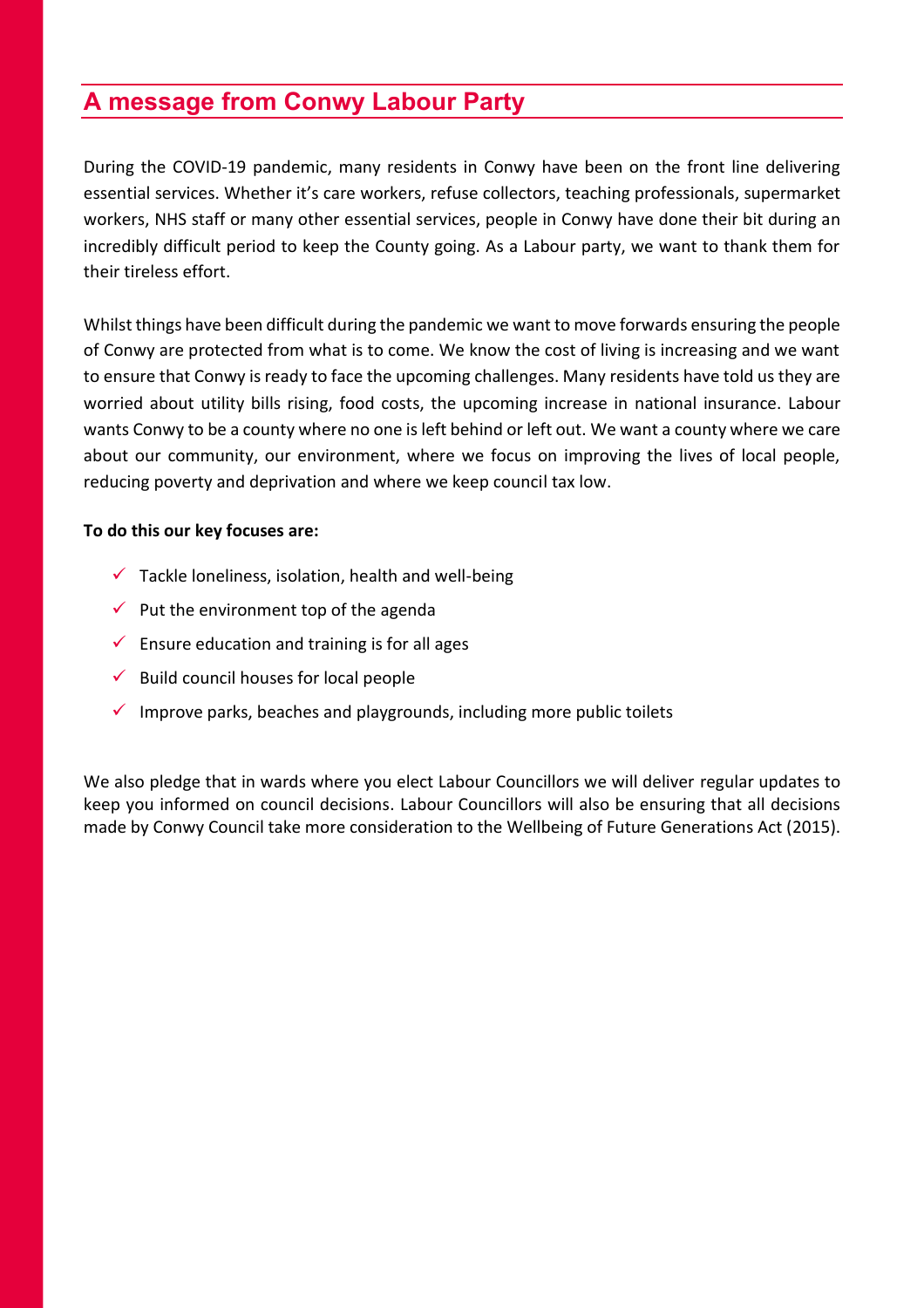## **A message from Conwy Labour Party**

During the COVID-19 pandemic, many residents in Conwy have been on the front line delivering essential services. Whether it's care workers, refuse collectors, teaching professionals, supermarket workers, NHS staff or many other essential services, people in Conwy have done their bit during an incredibly difficult period to keep the County going. As a Labour party, we want to thank them for their tireless effort.

Whilst things have been difficult during the pandemic we want to move forwards ensuring the people of Conwy are protected from what is to come. We know the cost of living is increasing and we want to ensure that Conwy is ready to face the upcoming challenges. Many residents have told us they are worried about utility bills rising, food costs, the upcoming increase in national insurance. Labour wants Conwy to be a county where no one is left behind or left out. We want a county where we care about our community, our environment, where we focus on improving the lives of local people, reducing poverty and deprivation and where we keep council tax low.

### **To do this our key focuses are:**

- $\checkmark$  Tackle loneliness, isolation, health and well-being
- $\checkmark$  Put the environment top of the agenda
- $\checkmark$  Ensure education and training is for all ages
- $\checkmark$  Build council houses for local people
- $\checkmark$  Improve parks, beaches and playgrounds, including more public toilets

We also pledge that in wards where you elect Labour Councillors we will deliver regular updates to keep you informed on council decisions. Labour Councillors will also be ensuring that all decisions made by Conwy Council take more consideration to the Wellbeing of Future Generations Act (2015).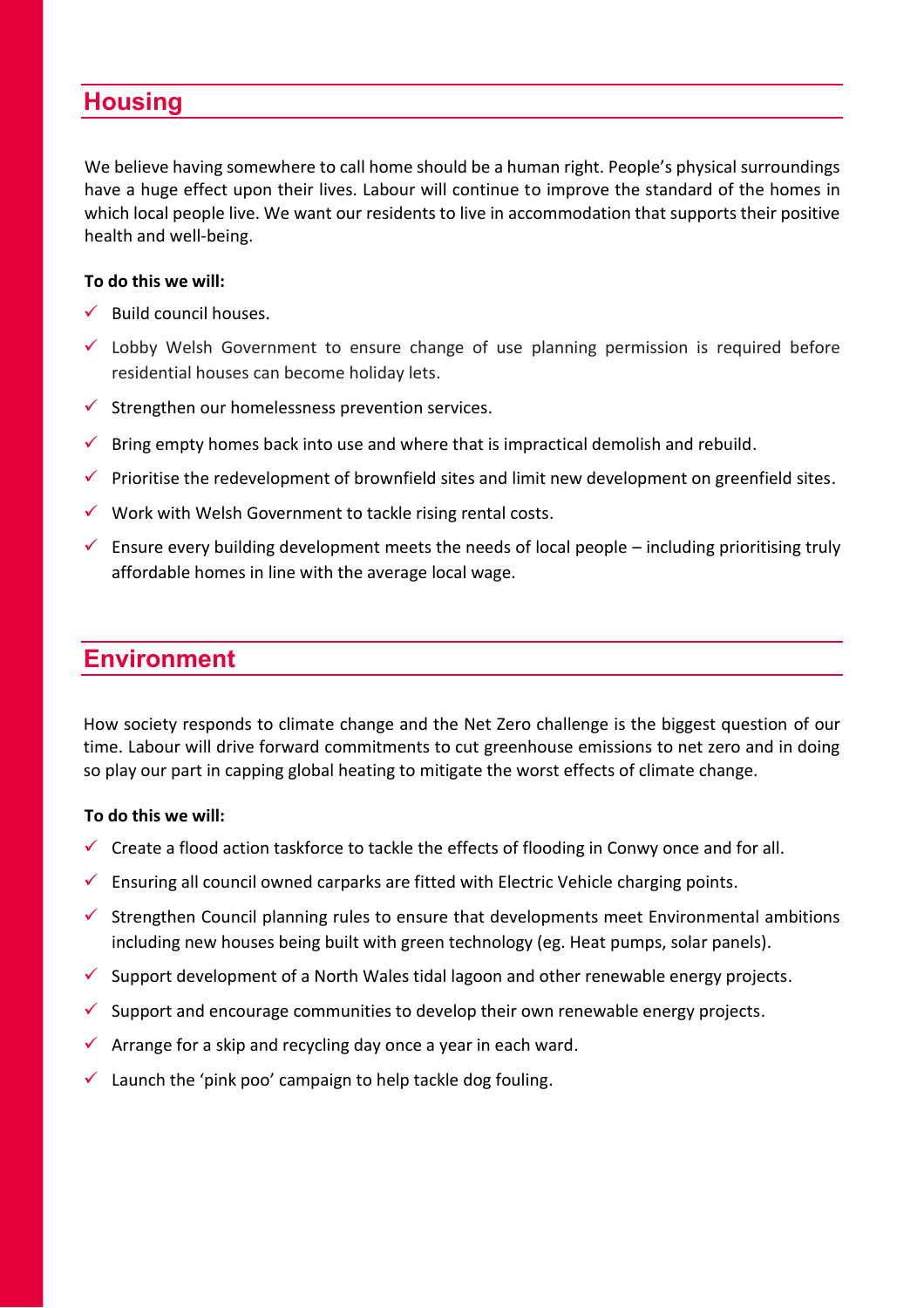## **Housing**

We believe having somewhere to call home should be a human right. People's physical surroundings have a huge effect upon their lives. Labour will continue to improve the standard of the homes in which local people live. We want our residents to live in accommodation that supports their positive health and well-being.

### **To do this we will:**

- $\checkmark$  Build council houses.
- $\checkmark$  Lobby Welsh Government to ensure change of use planning permission is required before residential houses can become holiday lets.
- $\checkmark$  Strengthen our homelessness prevention services.
- $\checkmark$  Bring empty homes back into use and where that is impractical demolish and rebuild.
- $\checkmark$  Prioritise the redevelopment of brownfield sites and limit new development on greenfield sites.
- $\checkmark$  Work with Welsh Government to tackle rising rental costs.
- $\checkmark$  Ensure every building development meets the needs of local people including prioritising truly affordable homes in line with the average local wage.

### **Environment**

How society responds to climate change and the Net Zero challenge is the biggest question of our time. Labour will drive forward commitments to cut greenhouse emissions to net zero and in doing so play our part in capping global heating to mitigate the worst effects of climate change.

#### **To do this we will:**

- $\checkmark$  Create a flood action taskforce to tackle the effects of flooding in Conwy once and for all.
- $\checkmark$  Ensuring all council owned carparks are fitted with Electric Vehicle charging points.
- $\checkmark$  Strengthen Council planning rules to ensure that developments meet Environmental ambitions including new houses being built with green technology (eg. Heat pumps, solar panels).
- $\checkmark$  Support development of a North Wales tidal lagoon and other renewable energy projects.
- $\checkmark$  Support and encourage communities to develop their own renewable energy projects.
- $\checkmark$  Arrange for a skip and recycling day once a year in each ward.
- $\checkmark$  Launch the 'pink poo' campaign to help tackle dog fouling.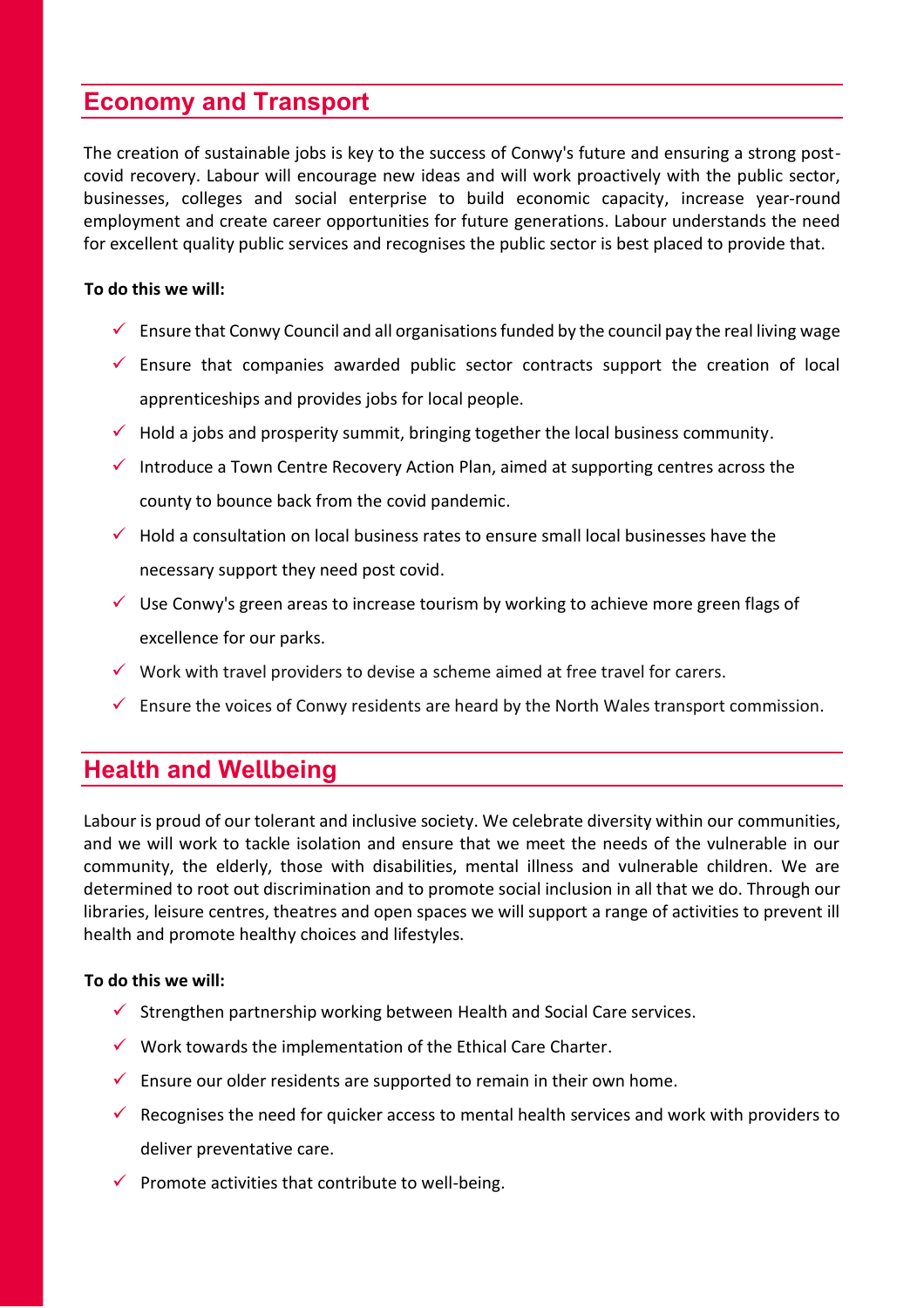## **Economy and Transport**

The creation of sustainable jobs is key to the success of Conwy's future and ensuring a strong postcovid recovery. Labour will encourage new ideas and will work proactively with the public sector, businesses, colleges and social enterprise to build economic capacity, increase year-round employment and create career opportunities for future generations. Labour understands the need for excellent quality public services and recognises the public sector is best placed to provide that.

#### **To do this we will:**

- $\checkmark$  Ensure that Conwy Council and all organisations funded by the council pay the real living wage
- $\checkmark$  Ensure that companies awarded public sector contracts support the creation of local apprenticeships and provides jobs for local people.
- $\checkmark$  Hold a jobs and prosperity summit, bringing together the local business community.
- $\checkmark$  Introduce a Town Centre Recovery Action Plan, aimed at supporting centres across the county to bounce back from the covid pandemic.
- $\checkmark$  Hold a consultation on local business rates to ensure small local businesses have the necessary support they need post covid.
- $\checkmark$  Use Conwy's green areas to increase tourism by working to achieve more green flags of excellence for our parks.
- $\checkmark$  Work with travel providers to devise a scheme aimed at free travel for carers.
- $\checkmark$  Ensure the voices of Conwy residents are heard by the North Wales transport commission.

## **Health and Wellbeing**

Labour is proud of our tolerant and inclusive society. We celebrate diversity within our communities, and we will work to tackle isolation and ensure that we meet the needs of the vulnerable in our community, the elderly, those with disabilities, mental illness and vulnerable children. We are determined to root out discrimination and to promote social inclusion in all that we do. Through our libraries, leisure centres, theatres and open spaces we will support a range of activities to prevent ill health and promote healthy choices and lifestyles.

#### **To do this we will:**

- $\checkmark$  Strengthen partnership working between Health and Social Care services.
- $\checkmark$  Work towards the implementation of the Ethical Care Charter.
- $\checkmark$  Ensure our older residents are supported to remain in their own home.
- $\checkmark$  Recognises the need for quicker access to mental health services and work with providers to deliver preventative care.
- $\checkmark$  Promote activities that contribute to well-being.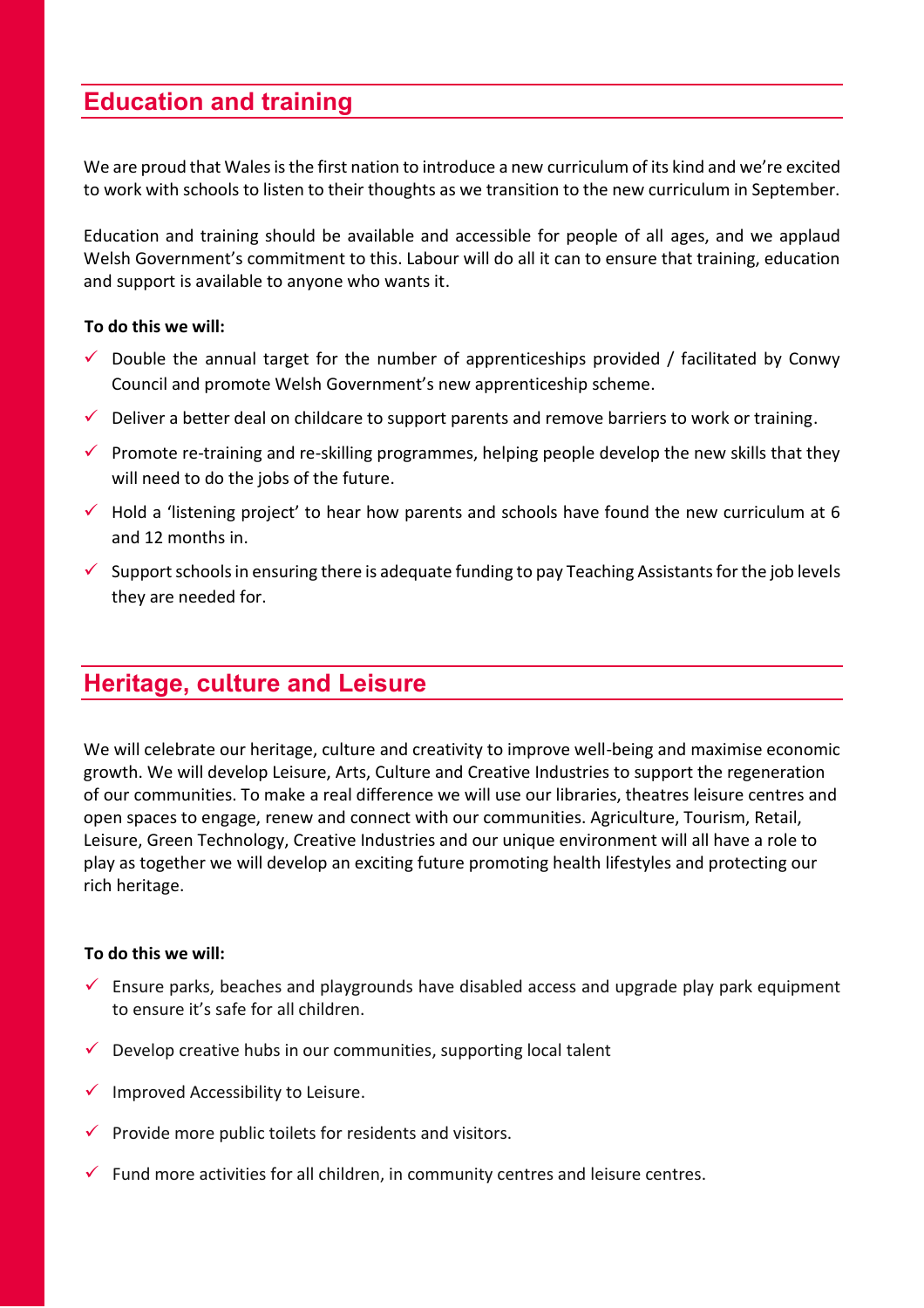## **Education and training**

We are proud that Wales is the first nation to introduce a new curriculum of its kind and we're excited to work with schools to listen to their thoughts as we transition to the new curriculum in September.

Education and training should be available and accessible for people of all ages, and we applaud Welsh Government's commitment to this. Labour will do all it can to ensure that training, education and support is available to anyone who wants it.

#### **To do this we will:**

- $\checkmark$  Double the annual target for the number of apprenticeships provided / facilitated by Conwy Council and promote Welsh Government's new apprenticeship scheme.
- $\checkmark$  Deliver a better deal on childcare to support parents and remove barriers to work or training.
- $\checkmark$  Promote re-training and re-skilling programmes, helping people develop the new skills that they will need to do the jobs of the future.
- $\checkmark$  Hold a 'listening project' to hear how parents and schools have found the new curriculum at 6 and 12 months in.
- $\checkmark$  Support schools in ensuring there is adequate funding to pay Teaching Assistants for the job levels they are needed for.

## **Heritage, culture and Leisure**

We will celebrate our heritage, culture and creativity to improve well-being and maximise economic growth. We will develop Leisure, Arts, Culture and Creative Industries to support the regeneration of our communities. To make a real difference we will use our libraries, theatres leisure centres and open spaces to engage, renew and connect with our communities. Agriculture, Tourism, Retail, Leisure, Green Technology, Creative Industries and our unique environment will all have a role to play as together we will develop an exciting future promoting health lifestyles and protecting our rich heritage.

#### **To do this we will:**

- $\checkmark$  Ensure parks, beaches and playgrounds have disabled access and upgrade play park equipment to ensure it's safe for all children.
- $\checkmark$  Develop creative hubs in our communities, supporting local talent
- $\checkmark$  Improved Accessibility to Leisure.
- $\checkmark$  Provide more public toilets for residents and visitors.
- $\checkmark$  Fund more activities for all children, in community centres and leisure centres.